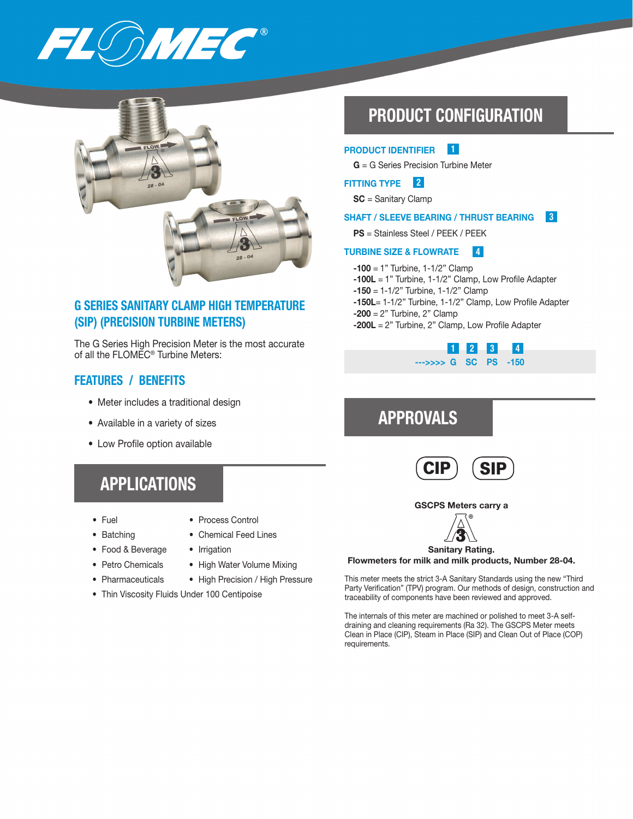



## G SERIES SANITARY CLAMP HIGH TEMPERATURE (SIP) (PRECISION TURBINE METERS)

The G Series High Precision Meter is the most accurate of all the FLOMEC® Turbine Meters:

### FEATURES / BENEFITS

- Meter includes a traditional design
- Available in a variety of sizes
- Low Profile option available

# APPLICATIONS

- 
- Fuel Process Control
- Batching Chemical Feed Lines
- Food & Beverage Irrigation
- Petro Chemicals High Water Volume Mixing
- Pharmaceuticals High Precision / High Pressure
- Thin Viscosity Fluids Under 100 Centipoise

# PRODUCT CONFIGURATION

#### 1 PRODUCT IDENTIFIER

G = G Series Precision Turbine Meter

### 2 FITTING TYPE

SC = Sanitary Clamp

#### 3 SHAFT / SLEEVE BEARING / THRUST BEARING

PS = Stainless Steel / PEEK / PEEK

#### 4 TURBINE SIZE & FLOWRATE

- $-100 = 1$ " Turbine,  $1 1/2$ " Clamp
- -100L = 1" Turbine, 1-1/2" Clamp, Low Profile Adapter
- $-150 = 1 1/2$ " Turbine,  $1 1/2$ " Clamp
- -150L= 1-1/2" Turbine, 1-1/2" Clamp, Low Profile Adapter  $-200 = 2"$  Turbine, 2" Clamp
- $-200L = 2$ " Turbine, 2" Clamp, Low Profile Adapter



# APPROVALS



GSCPS Meters carry a



### Flowmeters for milk and milk products, Number 28-04.

This meter meets the strict 3-A Sanitary Standards using the new "Third Party Verification" (TPV) program. Our methods of design, construction and traceability of components have been reviewed and approved.

The internals of this meter are machined or polished to meet 3-A selfdraining and cleaning requirements (Ra 32). The GSCPS Meter meets Clean in Place (CIP), Steam in Place (SIP) and Clean Out of Place (COP) requirements.